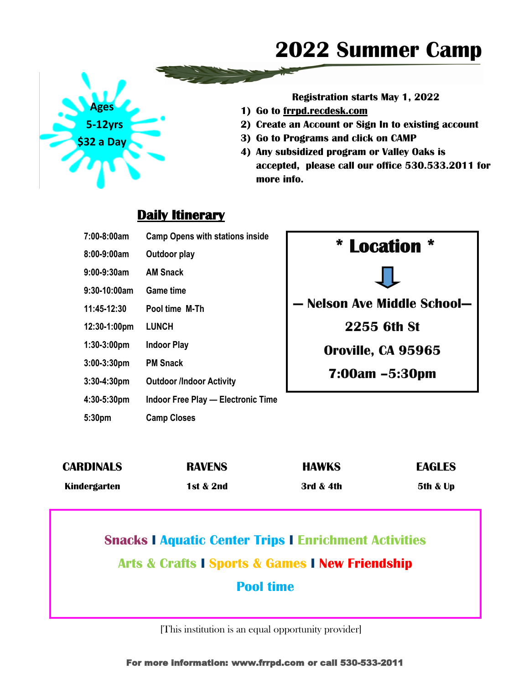## **2022 Summer Camp**

**Registration starts May 1, 2022**

- **1) Go to frrpd.recdesk.com**
- **2) Create an Account or Sign In to existing account**
- **3) Go to Programs and click on CAMP**
- **4) Any subsidized program or Valley Oaks is accepted, please call our office 530.533.2011 for more info.**

## **Daily Itinerary**

**Ages**

**\$32 a Day**

 **5-12yrs**

| 7:00-8:00am           | <b>Camp Opens with stations inside</b>    |
|-----------------------|-------------------------------------------|
| 8:00-9:00am           | Outdoor play                              |
| 9:00-9:30am           | <b>AM Snack</b>                           |
| 9:30-10:00am          | <b>Game time</b>                          |
| 11:45-12:30           | Pool time M-Th                            |
| 12:30-1:00pm          | <b>LUNCH</b>                              |
| $1:30-3:00$ pm        | <b>Indoor Play</b>                        |
| $3:00-3:30$ pm        | <b>PM Snack</b>                           |
| $3:30 - 4:30$ pm      | <b>Outdoor /Indoor Activity</b>           |
| $4:30-5:30 \text{pm}$ | <b>Indoor Free Play — Electronic Time</b> |
| 5:30pm                | <b>Camp Closes</b>                        |



| <b>CARDINALS</b> | <b>RAVENS</b>        | <b>HAWKS</b> | <b>EAGLES</b>       |
|------------------|----------------------|--------------|---------------------|
| Kindergarten     | <b>1st &amp; 2nd</b> | 3rd & 4th    | <b>5th &amp; Up</b> |

## **Snacks I Aquatic Center Trips I Enrichment Activities Arts & Crafts I Sports & Games I New Friendship Pool time**

[This institution is an equal opportunity provider]